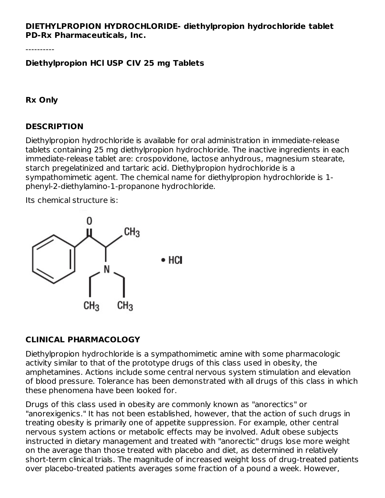#### **DIETHYLPROPION HYDROCHLORIDE- diethylpropion hydrochloride tablet PD-Rx Pharmaceuticals, Inc.**

----------

**Diethylpropion HCl USP CIV 25 mg Tablets**

**Rx Only**

#### **DESCRIPTION**

Diethylpropion hydrochloride is available for oral administration in immediate-release tablets containing 25 mg diethylpropion hydrochloride. The inactive ingredients in each immediate-release tablet are: crospovidone, lactose anhydrous, magnesium stearate, starch pregelatinized and tartaric acid. Diethylpropion hydrochloride is a sympathomimetic agent. The chemical name for diethylpropion hydrochloride is 1 phenyl-2-diethylamino-1-propanone hydrochloride.

Its chemical structure is:



## **CLINICAL PHARMACOLOGY**

Diethylpropion hydrochloride is a sympathomimetic amine with some pharmacologic activity similar to that of the prototype drugs of this class used in obesity, the amphetamines. Actions include some central nervous system stimulation and elevation of blood pressure. Tolerance has been demonstrated with all drugs of this class in which these phenomena have been looked for.

Drugs of this class used in obesity are commonly known as "anorectics" or "anorexigenics." It has not been established, however, that the action of such drugs in treating obesity is primarily one of appetite suppression. For example, other central nervous system actions or metabolic effects may be involved. Adult obese subjects instructed in dietary management and treated with "anorectic" drugs lose more weight on the average than those treated with placebo and diet, as determined in relatively short-term clinical trials. The magnitude of increased weight loss of drug-treated patients over placebo-treated patients averages some fraction of a pound a week. However,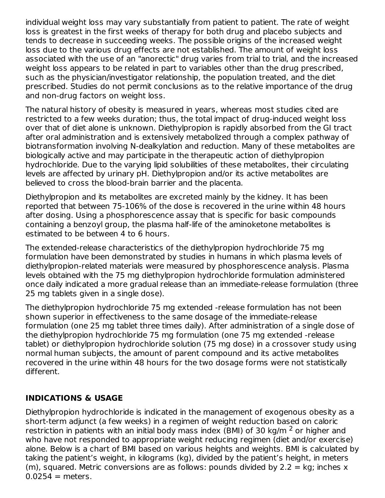individual weight loss may vary substantially from patient to patient. The rate of weight loss is greatest in the first weeks of therapy for both drug and placebo subjects and tends to decrease in succeeding weeks. The possible origins of the increased weight loss due to the various drug effects are not established. The amount of weight loss associated with the use of an "anorectic" drug varies from trial to trial, and the increased weight loss appears to be related in part to variables other than the drug prescribed, such as the physician/investigator relationship, the population treated, and the diet prescribed. Studies do not permit conclusions as to the relative importance of the drug and non-drug factors on weight loss.

The natural history of obesity is measured in years, whereas most studies cited are restricted to a few weeks duration; thus, the total impact of drug-induced weight loss over that of diet alone is unknown. Diethylpropion is rapidly absorbed from the GI tract after oral administration and is extensively metabolized through a complex pathway of biotransformation involving N-dealkylation and reduction. Many of these metabolites are biologically active and may participate in the therapeutic action of diethylpropion hydrochloride. Due to the varying lipid solubilities of these metabolites, their circulating levels are affected by urinary pH. Diethylpropion and/or its active metabolites are believed to cross the blood-brain barrier and the placenta.

Diethylpropion and its metabolites are excreted mainly by the kidney. It has been reported that between 75-106% of the dose is recovered in the urine within 48 hours after dosing. Using a phosphorescence assay that is specific for basic compounds containing a benzoyl group, the plasma half-life of the aminoketone metabolites is estimated to be between 4 to 6 hours.

The extended-release characteristics of the diethylpropion hydrochloride 75 mg formulation have been demonstrated by studies in humans in which plasma levels of diethylpropion-related materials were measured by phosphorescence analysis. Plasma levels obtained with the 75 mg diethylpropion hydrochloride formulation administered once daily indicated a more gradual release than an immediate-release formulation (three 25 mg tablets given in a single dose).

The diethylpropion hydrochloride 75 mg extended -release formulation has not been shown superior in effectiveness to the same dosage of the immediate-release formulation (one 25 mg tablet three times daily). After administration of a single dose of the diethylpropion hydrochloride 75 mg formulation (one 75 mg extended -release tablet) or diethylpropion hydrochloride solution (75 mg dose) in a crossover study using normal human subjects, the amount of parent compound and its active metabolites recovered in the urine within 48 hours for the two dosage forms were not statistically different.

## **INDICATIONS & USAGE**

Diethylpropion hydrochloride is indicated in the management of exogenous obesity as a short-term adjunct (a few weeks) in a regimen of weight reduction based on caloric restriction in patients with an initial body mass index (BMI) of 30 kg/m  $^2$  or higher and who have not responded to appropriate weight reducing regimen (diet and/or exercise) alone. Below is a chart of BMI based on various heights and weights. BMI is calculated by taking the patient's weight, in kilograms (kg), divided by the patient's height, in meters (m), squared. Metric conversions are as follows: pounds divided by  $2.2 = \text{kg}$ ; inches x  $0.0254$  = meters.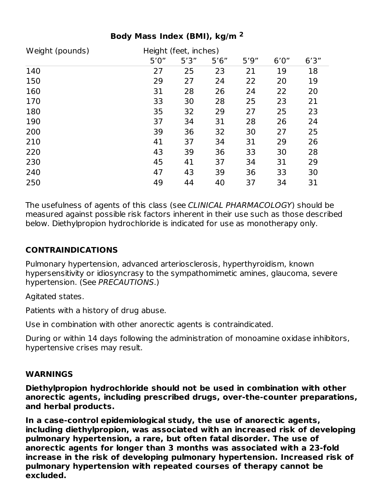| Weight (pounds) | Height (feet, inches) |       |       |       |       |       |
|-----------------|-----------------------|-------|-------|-------|-------|-------|
|                 | 5'0''                 | 5'3'' | 5'6'' | 5'9'' | 6'0'' | 6'3'' |
| 140             | 27                    | 25    | 23    | 21    | 19    | 18    |
| 150             | 29                    | 27    | 24    | 22    | 20    | 19    |
| 160             | 31                    | 28    | 26    | 24    | 22    | 20    |
| 170             | 33                    | 30    | 28    | 25    | 23    | 21    |
| 180             | 35                    | 32    | 29    | 27    | 25    | 23    |
| 190             | 37                    | 34    | 31    | 28    | 26    | 24    |
| 200             | 39                    | 36    | 32    | 30    | 27    | 25    |
| 210             | 41                    | 37    | 34    | 31    | 29    | 26    |
| 220             | 43                    | 39    | 36    | 33    | 30    | 28    |
| 230             | 45                    | 41    | 37    | 34    | 31    | 29    |
| 240             | 47                    | 43    | 39    | 36    | 33    | 30    |
| 250             | 49                    | 44    | 40    | 37    | 34    | 31    |

## **Body Mass Index (BMI), kg/m 2**

The usefulness of agents of this class (see CLINICAL PHARMACOLOGY) should be measured against possible risk factors inherent in their use such as those described below. Diethylpropion hydrochloride is indicated for use as monotherapy only.

# **CONTRAINDICATIONS**

Pulmonary hypertension, advanced arteriosclerosis, hyperthyroidism, known hypersensitivity or idiosyncrasy to the sympathomimetic amines, glaucoma, severe hypertension. (See PRECAUTIONS.)

Agitated states.

Patients with a history of drug abuse.

Use in combination with other anorectic agents is contraindicated.

During or within 14 days following the administration of monoamine oxidase inhibitors, hypertensive crises may result.

#### **WARNINGS**

**Diethylpropion hydrochloride should not be used in combination with other anorectic agents, including prescribed drugs, over-the-counter preparations, and herbal products.**

**In a case-control epidemiological study, the use of anorectic agents, including diethylpropion, was associated with an increased risk of developing pulmonary hypertension, a rare, but often fatal disorder. The use of anorectic agents for longer than 3 months was associated with a 23-fold increase in the risk of developing pulmonary hypertension. Increased risk of pulmonary hypertension with repeated courses of therapy cannot be excluded.**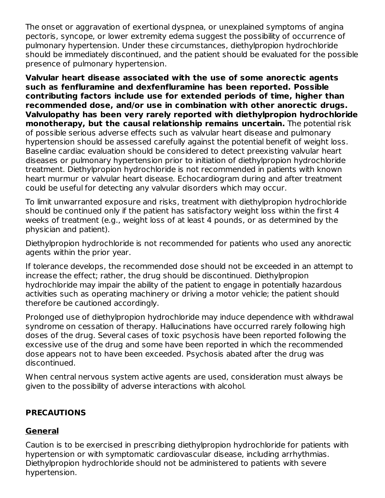The onset or aggravation of exertional dyspnea, or unexplained symptoms of angina pectoris, syncope, or lower extremity edema suggest the possibility of occurrence of pulmonary hypertension. Under these circumstances, diethylpropion hydrochloride should be immediately discontinued, and the patient should be evaluated for the possible presence of pulmonary hypertension.

**Valvular heart disease associated with the use of some anorectic agents such as fenfluramine and dexfenfluramine has been reported. Possible contributing factors include use for extended periods of time, higher than recommended dose, and/or use in combination with other anorectic drugs. Valvulopathy has been very rarely reported with diethylpropion hydrochloride monotherapy, but the causal relationship remains uncertain.** The potential risk of possible serious adverse effects such as valvular heart disease and pulmonary hypertension should be assessed carefully against the potential benefit of weight loss. Baseline cardiac evaluation should be considered to detect preexisting valvular heart diseases or pulmonary hypertension prior to initiation of diethylpropion hydrochloride treatment. Diethylpropion hydrochloride is not recommended in patients with known heart murmur or valvular heart disease. Echocardiogram during and after treatment could be useful for detecting any valvular disorders which may occur.

To limit unwarranted exposure and risks, treatment with diethylpropion hydrochloride should be continued only if the patient has satisfactory weight loss within the first 4 weeks of treatment (e.g., weight loss of at least 4 pounds, or as determined by the physician and patient).

Diethylpropion hydrochloride is not recommended for patients who used any anorectic agents within the prior year.

If tolerance develops, the recommended dose should not be exceeded in an attempt to increase the effect; rather, the drug should be discontinued. Diethylpropion hydrochloride may impair the ability of the patient to engage in potentially hazardous activities such as operating machinery or driving a motor vehicle; the patient should therefore be cautioned accordingly.

Prolonged use of diethylpropion hydrochloride may induce dependence with withdrawal syndrome on cessation of therapy. Hallucinations have occurred rarely following high doses of the drug. Several cases of toxic psychosis have been reported following the excessive use of the drug and some have been reported in which the recommended dose appears not to have been exceeded. Psychosis abated after the drug was discontinued.

When central nervous system active agents are used, consideration must always be given to the possibility of adverse interactions with alcohol.

## **PRECAUTIONS**

## **General**

Caution is to be exercised in prescribing diethylpropion hydrochloride for patients with hypertension or with symptomatic cardiovascular disease, including arrhythmias. Diethylpropion hydrochloride should not be administered to patients with severe hypertension.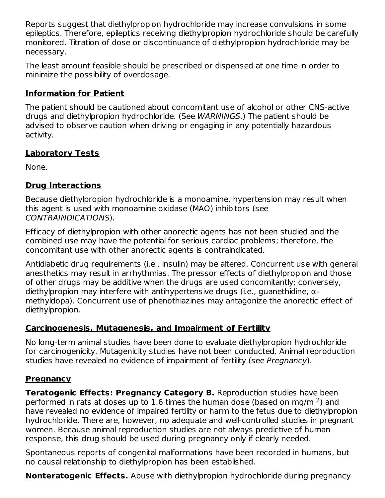Reports suggest that diethylpropion hydrochloride may increase convulsions in some epileptics. Therefore, epileptics receiving diethylpropion hydrochloride should be carefully monitored. Titration of dose or discontinuance of diethylpropion hydrochloride may be necessary.

The least amount feasible should be prescribed or dispensed at one time in order to minimize the possibility of overdosage.

## **Information for Patient**

The patient should be cautioned about concomitant use of alcohol or other CNS-active drugs and diethylpropion hydrochloride. (See WARNINGS.) The patient should be advised to observe caution when driving or engaging in any potentially hazardous activity.

## **Laboratory Tests**

None.

# **Drug Interactions**

Because diethylpropion hydrochloride is a monoamine, hypertension may result when this agent is used with monoamine oxidase (MAO) inhibitors (see CONTRAINDICATIONS).

Efficacy of diethylpropion with other anorectic agents has not been studied and the combined use may have the potential for serious cardiac problems; therefore, the concomitant use with other anorectic agents is contraindicated.

Antidiabetic drug requirements (i.e., insulin) may be altered. Concurrent use with general anesthetics may result in arrhythmias. The pressor effects of diethylpropion and those of other drugs may be additive when the drugs are used concomitantly; conversely, diethylpropion may interfere with antihypertensive drugs (i.e., guanethidine, αmethyldopa). Concurrent use of phenothiazines may antagonize the anorectic effect of diethylpropion.

## **Carcinogenesis, Mutagenesis, and Impairment of Fertility**

No long-term animal studies have been done to evaluate diethylpropion hydrochloride for carcinogenicity. Mutagenicity studies have not been conducted. Animal reproduction studies have revealed no evidence of impairment of fertility (see Pregnancy).

# **Pregnancy**

**Teratogenic Effects: Pregnancy Category B.** Reproduction studies have been performed in rats at doses up to 1.6 times the human dose (based on mg/m  $^2$ ) and have revealed no evidence of impaired fertility or harm to the fetus due to diethylpropion hydrochloride. There are, however, no adequate and well-controlled studies in pregnant women. Because animal reproduction studies are not always predictive of human response, this drug should be used during pregnancy only if clearly needed.

Spontaneous reports of congenital malformations have been recorded in humans, but no causal relationship to diethylpropion has been established.

**Nonteratogenic Effects.** Abuse with diethylpropion hydrochloride during pregnancy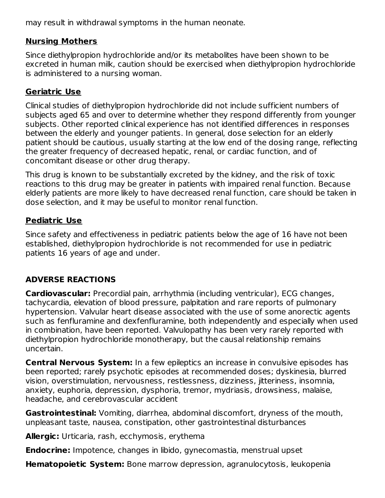may result in withdrawal symptoms in the human neonate.

## **Nursing Mothers**

Since diethylpropion hydrochloride and/or its metabolites have been shown to be excreted in human milk, caution should be exercised when diethylpropion hydrochloride is administered to a nursing woman.

## **Geriatric Use**

Clinical studies of diethylpropion hydrochloride did not include sufficient numbers of subjects aged 65 and over to determine whether they respond differently from younger subjects. Other reported clinical experience has not identified differences in responses between the elderly and younger patients. In general, dose selection for an elderly patient should be cautious, usually starting at the low end of the dosing range, reflecting the greater frequency of decreased hepatic, renal, or cardiac function, and of concomitant disease or other drug therapy.

This drug is known to be substantially excreted by the kidney, and the risk of toxic reactions to this drug may be greater in patients with impaired renal function. Because elderly patients are more likely to have decreased renal function, care should be taken in dose selection, and it may be useful to monitor renal function.

## **Pediatric Use**

Since safety and effectiveness in pediatric patients below the age of 16 have not been established, diethylpropion hydrochloride is not recommended for use in pediatric patients 16 years of age and under.

## **ADVERSE REACTIONS**

**Cardiovascular:** Precordial pain, arrhythmia (including ventricular), ECG changes, tachycardia, elevation of blood pressure, palpitation and rare reports of pulmonary hypertension. Valvular heart disease associated with the use of some anorectic agents such as fenfluramine and dexfenfluramine, both independently and especially when used in combination, have been reported. Valvulopathy has been very rarely reported with diethylpropion hydrochloride monotherapy, but the causal relationship remains uncertain.

**Central Nervous System:** In a few epileptics an increase in convulsive episodes has been reported; rarely psychotic episodes at recommended doses; dyskinesia, blurred vision, overstimulation, nervousness, restlessness, dizziness, jitteriness, insomnia, anxiety, euphoria, depression, dysphoria, tremor, mydriasis, drowsiness, malaise, headache, and cerebrovascular accident

**Gastrointestinal:** Vomiting, diarrhea, abdominal discomfort, dryness of the mouth, unpleasant taste, nausea, constipation, other gastrointestinal disturbances

**Allergic:** Urticaria, rash, ecchymosis, erythema

**Endocrine:** Impotence, changes in libido, gynecomastia, menstrual upset

**Hematopoietic System:** Bone marrow depression, agranulocytosis, leukopenia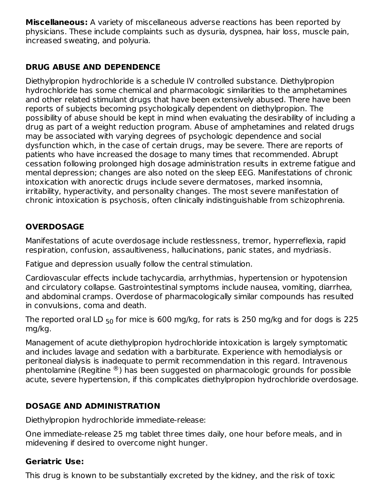**Miscellaneous:** A variety of miscellaneous adverse reactions has been reported by physicians. These include complaints such as dysuria, dyspnea, hair loss, muscle pain, increased sweating, and polyuria.

## **DRUG ABUSE AND DEPENDENCE**

Diethylpropion hydrochloride is a schedule IV controlled substance. Diethylpropion hydrochloride has some chemical and pharmacologic similarities to the amphetamines and other related stimulant drugs that have been extensively abused. There have been reports of subjects becoming psychologically dependent on diethylpropion. The possibility of abuse should be kept in mind when evaluating the desirability of including a drug as part of a weight reduction program. Abuse of amphetamines and related drugs may be associated with varying degrees of psychologic dependence and social dysfunction which, in the case of certain drugs, may be severe. There are reports of patients who have increased the dosage to many times that recommended. Abrupt cessation following prolonged high dosage administration results in extreme fatigue and mental depression; changes are also noted on the sleep EEG. Manifestations of chronic intoxication with anorectic drugs include severe dermatoses, marked insomnia, irritability, hyperactivity, and personality changes. The most severe manifestation of chronic intoxication is psychosis, often clinically indistinguishable from schizophrenia.

# **OVERDOSAGE**

Manifestations of acute overdosage include restlessness, tremor, hyperreflexia, rapid respiration, confusion, assaultiveness, hallucinations, panic states, and mydriasis.

Fatigue and depression usually follow the central stimulation.

Cardiovascular effects include tachycardia, arrhythmias, hypertension or hypotension and circulatory collapse. Gastrointestinal symptoms include nausea, vomiting, diarrhea, and abdominal cramps. Overdose of pharmacologically similar compounds has resulted in convulsions, coma and death.

The reported oral LD  $_{50}$  for mice is 600 mg/kg, for rats is 250 mg/kg and for dogs is 225 mg/kg.

Management of acute diethylpropion hydrochloride intoxication is largely symptomatic and includes lavage and sedation with a barbiturate. Experience with hemodialysis or peritoneal dialysis is inadequate to permit recommendation in this regard. Intravenous phentolamine (Regitine  $^{\circledR}$ ) has been suggested on pharmacologic grounds for possible acute, severe hypertension, if this complicates diethylpropion hydrochloride overdosage.

# **DOSAGE AND ADMINISTRATION**

Diethylpropion hydrochloride immediate-release:

One immediate-release 25 mg tablet three times daily, one hour before meals, and in midevening if desired to overcome night hunger.

## **Geriatric Use:**

This drug is known to be substantially excreted by the kidney, and the risk of toxic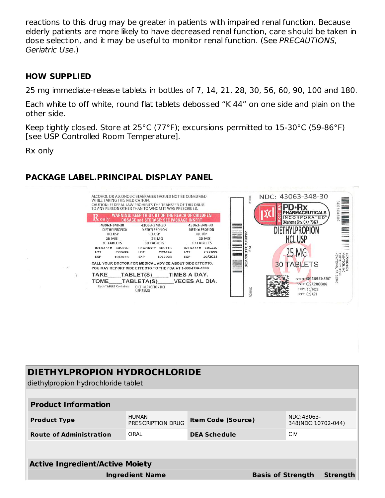reactions to this drug may be greater in patients with impaired renal function. Because elderly patients are more likely to have decreased renal function, care should be taken in dose selection, and it may be useful to monitor renal function. (See PRECAUTIONS, Geriatric Use.)

#### **HOW SUPPLIED**

25 mg immediate-release tablets in bottles of 7, 14, 21, 28, 30, 56, 60, 90, 100 and 180.

Each white to off white, round flat tablets debossed "K 44" on one side and plain on the other side.

Keep tightly closed. Store at 25°C (77°F); excursions permitted to 15-30°C (59-86°F) [see USP Controlled Room Temperature].

Rx only

## **PACKAGE LABEL.PRINCIPAL DISPLAY PANEL**



# **DIETHYLPROPION HYDROCHLORIDE**

diethylpropion hydrochloride tablet

| <b>Product Information</b>             |                                   |                           |                          |                                  |                 |
|----------------------------------------|-----------------------------------|---------------------------|--------------------------|----------------------------------|-----------------|
| <b>Product Type</b>                    | <b>HUMAN</b><br>PRESCRIPTION DRUG | <b>Item Code (Source)</b> |                          | NDC:43063-<br>348(NDC:10702-044) |                 |
| <b>Route of Administration</b>         | ORAI                              | <b>DEA Schedule</b>       |                          | <b>CIV</b>                       |                 |
|                                        |                                   |                           |                          |                                  |                 |
| <b>Active Ingredient/Active Moiety</b> |                                   |                           |                          |                                  |                 |
| <b>Ingredient Name</b>                 |                                   |                           | <b>Basis of Strength</b> |                                  | <b>Strength</b> |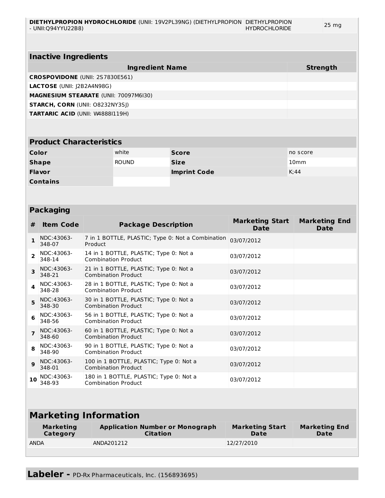| <b>Inactive Ingredients</b>                  |                 |  |  |  |
|----------------------------------------------|-----------------|--|--|--|
| <b>Ingredient Name</b>                       | <b>Strength</b> |  |  |  |
| <b>CROSPOVIDONE (UNII: 2S7830E561)</b>       |                 |  |  |  |
| <b>LACTOSE</b> (UNII: J2B2A4N98G)            |                 |  |  |  |
| <b>MAGNESIUM STEARATE (UNII: 70097M6I30)</b> |                 |  |  |  |
| <b>STARCH, CORN (UNII: O8232NY3SJ)</b>       |                 |  |  |  |
| <b>TARTARIC ACID (UNII: W48881119H)</b>      |                 |  |  |  |
|                                              |                 |  |  |  |
|                                              |                 |  |  |  |

| <b>Product Characteristics</b> |              |                     |                  |  |  |
|--------------------------------|--------------|---------------------|------------------|--|--|
| Color                          | white        | <b>Score</b>        | no score         |  |  |
| <b>Shape</b>                   | <b>ROUND</b> | <b>Size</b>         | 10 <sub>mm</sub> |  |  |
| <b>Flavor</b>                  |              | <b>Imprint Code</b> | K:44             |  |  |
| <b>Contains</b>                |              |                     |                  |  |  |

#### **Packaging**

| #                            | <b>Item Code</b>                    | <b>Package Description</b>                                            | <b>Marketing Start</b><br><b>Date</b> | <b>Marketing End</b><br><b>Date</b> |  |
|------------------------------|-------------------------------------|-----------------------------------------------------------------------|---------------------------------------|-------------------------------------|--|
| 1                            | NDC:43063-<br>348-07                | 7 in 1 BOTTLE, PLASTIC; Type 0: Not a Combination<br>Product          | 03/07/2012                            |                                     |  |
| $\overline{2}$               | NDC:43063-<br>348-14                | 14 in 1 BOTTLE, PLASTIC; Type 0: Not a<br><b>Combination Product</b>  | 03/07/2012                            |                                     |  |
| 3                            | NDC:43063-<br>348-21                | 21 in 1 BOTTLE, PLASTIC; Type 0: Not a<br><b>Combination Product</b>  | 03/07/2012                            |                                     |  |
| 4                            | NDC:43063-<br>348-28                | 28 in 1 BOTTLE, PLASTIC; Type 0: Not a<br><b>Combination Product</b>  | 03/07/2012                            |                                     |  |
| 5                            | NDC:43063-<br>348-30                | 30 in 1 BOTTLE, PLASTIC; Type 0: Not a<br><b>Combination Product</b>  | 03/07/2012                            |                                     |  |
| 6                            | NDC:43063-<br>348-56                | 56 in 1 BOTTLE, PLASTIC; Type 0: Not a<br><b>Combination Product</b>  | 03/07/2012                            |                                     |  |
| $\overline{ }$               | NDC:43063-<br>348-60                | 60 in 1 BOTTLE, PLASTIC; Type 0: Not a<br><b>Combination Product</b>  | 03/07/2012                            |                                     |  |
| 8                            | NDC:43063-<br>348-90                | 90 in 1 BOTTLE, PLASTIC; Type 0: Not a<br><b>Combination Product</b>  | 03/07/2012                            |                                     |  |
| 9                            | NDC:43063-<br>348-01                | 100 in 1 BOTTLE, PLASTIC; Type 0: Not a<br><b>Combination Product</b> | 03/07/2012                            |                                     |  |
| 10                           | NDC:43063-<br>348-93                | 180 in 1 BOTTLE, PLASTIC; Type 0: Not a<br><b>Combination Product</b> | 03/07/2012                            |                                     |  |
|                              |                                     |                                                                       |                                       |                                     |  |
| <b>Marketing Information</b> |                                     |                                                                       |                                       |                                     |  |
|                              | <b>Marketing</b><br><b>Category</b> | <b>Application Number or Monograph</b><br><b>Citation</b>             | <b>Marketing Start</b><br>Date        | <b>Marketing End</b><br><b>Date</b> |  |